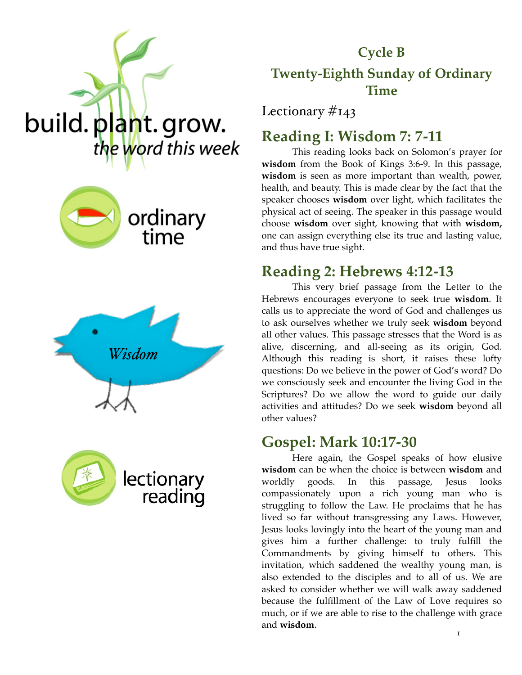

# **Cycle B Twenty-Eighth Sunday of Ordinary Time**

Lectionary #143

# **Reading I: Wisdom 7: 7-11**

This reading looks back on Solomon's prayer for **wisdom** from the Book of Kings 3:6-9. In this passage, **wisdom** is seen as more important than wealth, power, health, and beauty. This is made clear by the fact that the speaker chooses **wisdom** over light, which facilitates the physical act of seeing. The speaker in this passage would choose **wisdom** over sight, knowing that with **wisdom,** one can assign everything else its true and lasting value, and thus have true sight.

## **Reading 2: Hebrews 4:12-13**

This very brief passage from the Letter to the Hebrews encourages everyone to seek true **wisdom**. It calls us to appreciate the word of God and challenges us to ask ourselves whether we truly seek **wisdom** beyond all other values. This passage stresses that the Word is as alive, discerning, and all-seeing as its origin, God. Although this reading is short, it raises these lofty questions: Do we believe in the power of God's word? Do we consciously seek and encounter the living God in the Scriptures? Do we allow the word to guide our daily activities and attitudes? Do we seek **wisdom** beyond all other values?

#### **Gospel: Mark 10:17-30**

Here again, the Gospel speaks of how elusive **wisdom** can be when the choice is between **wisdom** and worldly goods. In this passage, Jesus looks compassionately upon a rich young man who is struggling to follow the Law. He proclaims that he has lived so far without transgressing any Laws. However, Jesus looks lovingly into the heart of the young man and gives him a further challenge: to truly fulfill the Commandments by giving himself to others. This invitation, which saddened the wealthy young man, is also extended to the disciples and to all of us. We are asked to consider whether we will walk away saddened because the fulfillment of the Law of Love requires so much, or if we are able to rise to the challenge with grace and **wisdom** .





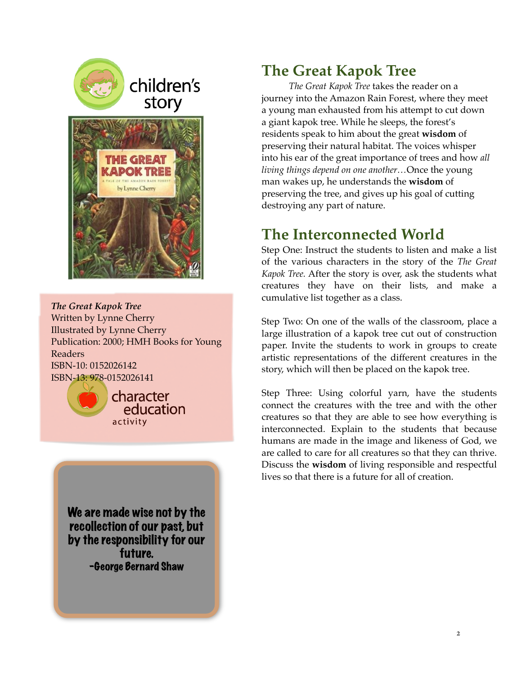

*The Great Kapok Tree* Written by Lynne Cherry Illustrated by Lynne Cherry Publication: 2000; HMH Books for Young Readers ISBN-10: 0152026142 ISBN-13: 978-0152026141



character education activity

We are made wise not by the recollection of our past, but by the responsibility for our future. -George Bernard Shaw

## **The Great Kapok Tree**

*The Great Kapok Tree* takes the reader on a journey into the Amazon Rain Forest, where they meet a young man exhausted from his attempt to cut down a giant kapok tree. While he sleeps, the forest's residents speak to him about the great **wisdom** of preserving their natural habitat. The voices whisper into his ear of the great importance of trees and how *all living things depend on one another…*Once the young man wakes up, he understands the **wisdom** of preserving the tree, and gives up his goal of cutting destroying any part of nature.

## **The Interconnected World**

Step One: Instruct the students to listen and make a list of the various characters in the story of the *The Great Kapok Tree.* After the story is over, ask the students what creatures they have on their lists, and make a cumulative list together as a class.

Step Two: On one of the walls of the classroom, place a large illustration of a kapok tree cut out of construction paper. Invite the students to work in groups to create artistic representations of the different creatures in the story, which will then be placed on the kapok tree.

Step Three: Using colorful yarn, have the students connect the creatures with the tree and with the other creatures so that they are able to see how everything is interconnected. Explain to the students that because humans are made in the image and likeness of God, we are called to care for all creatures so that they can thrive. Discuss the **wisdom** of living responsible and respectful lives so that there is a future for all of creation.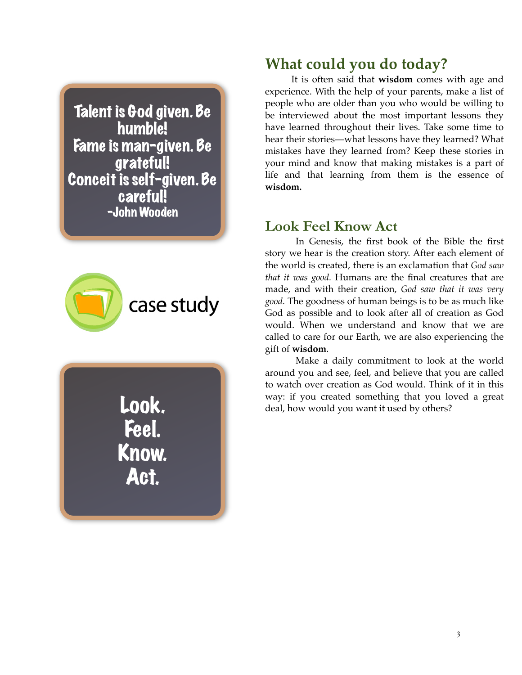Talent is God given. Be humble! Fame is man-given. Be grateful! Conceit is self-given. Be careful! -John Wooden



Look. Feel. Know. Act.

#### **What could you do today?**

It is often said that **wisdom** comes with age and experience. With the help of your parents, make a list of people who are older than you who would be willing to be interviewed about the most important lessons they have learned throughout their lives. Take some time to hear their stories—what lessons have they learned? What mistakes have they learned from? Keep these stories in your mind and know that making mistakes is a part of life and that learning from them is the essence of **wisdom.**

#### **Look Feel Know Act**

In Genesis, the first book of the Bible the first story we hear is the creation story. After each element of the world is created, there is an exclamation that *God saw that it was good.* Humans are the final creatures that are made, and with their creation, *God saw that it was very good.* The goodness of human beings is to be as much like God as possible and to look after all of creation as God would. When we understand and know that we are called to care for our Earth, we are also experiencing the gift of **wisdom**.

Make a daily commitment to look at the world around you and see, feel, and believe that you are called to watch over creation as God would. Think of it in this way: if you created something that you loved a great deal, how would you want it used by others?